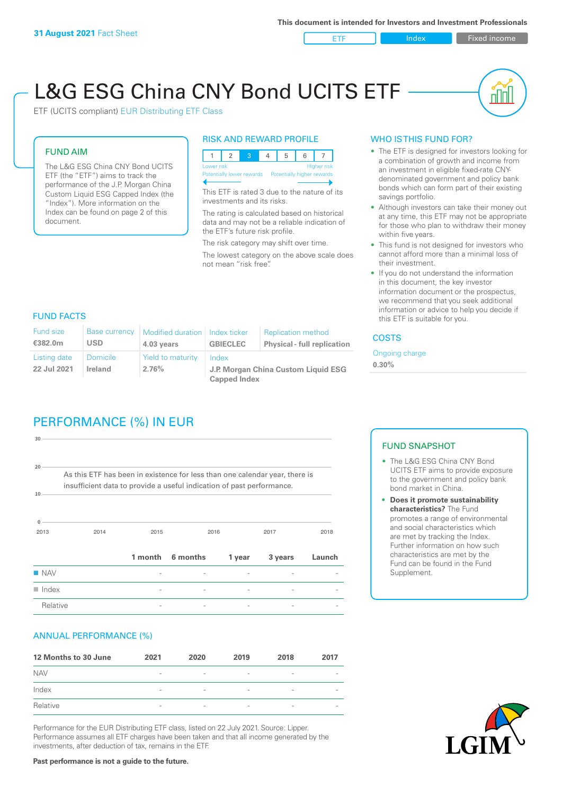ETF Index Fixed income

nl Inl

# L&G ESG China CNY Bond UCITS ETF

ETF (UCITS compliant) EUR Distributing ETF Class

#### FUND AIM

The L&G ESG China CNY Bond UCITS ETF (the "ETF") aims to track the performance of the J.P. Morgan China Custom Liquid ESG Capped Index (the "Index"). More information on the Index can be found on page 2 of this document.

#### RISK AND REWARD PROFILE



This ETF is rated 3 due to the nature of its investments and its risks.

The rating is calculated based on historical data and may not be a reliable indication of the ETF's future risk profile.

The risk category may shift over time. The lowest category on the above scale does not mean "risk free".

### WHO IS THIS FUND FOR?

- The ETF is designed for investors looking for a combination of growth and income from an investment in eligible fixed-rate CNYdenominated government and policy bank bonds which can form part of their existing savings portfolio.
- Although investors can take their money out at any time, this ETF may not be appropriate for those who plan to withdraw their money within five years.
- This fund is not designed for investors who cannot afford more than a minimal loss of their investment.
- If you do not understand the information in this document, the key investor information document or the prospectus, we recommend that you seek additional information or advice to help you decide if this ETF is suitable for you.

#### FUND FACTS

| <b>Fund size</b><br>€382.0m | <b>Base currency</b><br><b>USD</b> | Modified duration   Index ticker<br>4.03 years | <b>GBIECLEC</b>                              | <b>Replication method</b><br><b>Physical - full replication</b> | <b>COSTS</b>               |  |
|-----------------------------|------------------------------------|------------------------------------------------|----------------------------------------------|-----------------------------------------------------------------|----------------------------|--|
| Listing date<br>22 Jul 2021 | <b>Domicile</b><br><b>Ireland</b>  | Yield to maturity<br>2.76%                     | Index<br>J.P. Morgan China Custom Liquid ESG |                                                                 | Ongoing charge<br>$0.30\%$ |  |
|                             |                                    |                                                | <b>Capped Index</b>                          |                                                                 |                            |  |

# PERFORMANCE (%) IN EUR

| Relative              |                                                                                                                                                      |         |          |        |         |        |
|-----------------------|------------------------------------------------------------------------------------------------------------------------------------------------------|---------|----------|--------|---------|--------|
| $\blacksquare$ Index  |                                                                                                                                                      |         |          |        |         |        |
| $\blacksquare$ NAV    |                                                                                                                                                      |         |          |        |         |        |
|                       |                                                                                                                                                      | 1 month | 6 months | 1 year | 3 years | Launch |
| $\Omega$<br>2013      | 2014                                                                                                                                                 | 2015    |          | 2016   | 2017    | 2018   |
| 10                    | As this ETF has been in existence for less than one calendar year, there is<br>insufficient data to provide a useful indication of past performance. |         |          |        |         |        |
| 30<br>20 <sup>1</sup> |                                                                                                                                                      |         |          |        |         |        |
|                       |                                                                                                                                                      |         |          |        |         |        |

#### ANNUAL PERFORMANCE (%)

| 12 Months to 30 June | 2021                     | 2020                     | 2019                     | 2018                     | 2017                     |
|----------------------|--------------------------|--------------------------|--------------------------|--------------------------|--------------------------|
| <b>NAV</b>           | $\overline{\phantom{a}}$ | $\overline{\phantom{a}}$ | $\overline{\phantom{a}}$ | $\qquad \qquad$          | $\overline{\phantom{a}}$ |
| Index                | $\overline{\phantom{a}}$ | $\overline{\phantom{a}}$ | $\overline{\phantom{a}}$ | $\qquad \qquad$          | $\overline{\phantom{a}}$ |
| Relative             | $\overline{\phantom{a}}$ | $\sim$                   | $\overline{\phantom{a}}$ | $\overline{\phantom{a}}$ | $\overline{\phantom{a}}$ |

Performance for the EUR Distributing ETF class, listed on 22 July 2021. Source: Lipper. Performance assumes all ETF charges have been taken and that all income generated by the investments, after deduction of tax, remains in the ETF.

#### FUND SNAPSHOT

- The L&G ESG China CNY Bond UCITS ETF aims to provide exposure to the government and policy bank bond market in China.
- **• Does it promote sustainability characteristics?** The Fund promotes a range of environmental and social characteristics which are met by tracking the Index. Further information on how such characteristics are met by the Fund can be found in the Fund Supplement.



**Past performance is not a guide to the future.**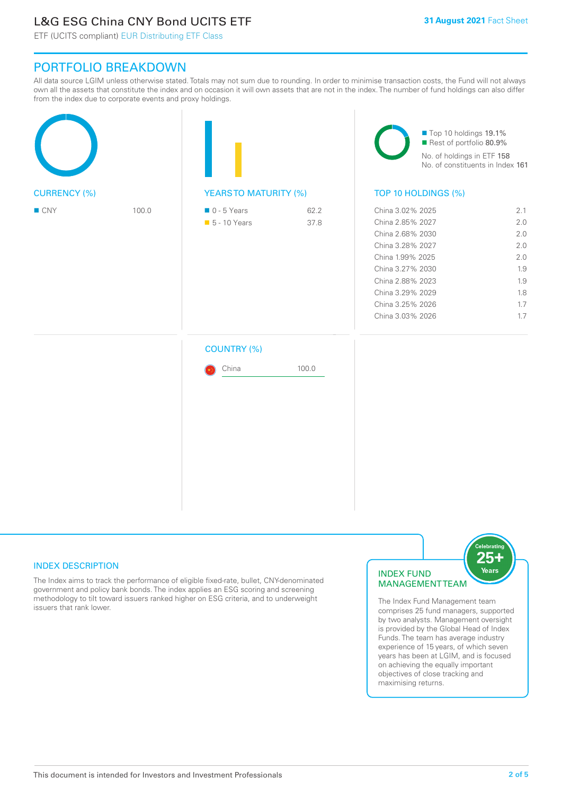# L&G ESG China CNY Bond UCITS ETF

ETF (UCITS compliant) EUR Distributing ETF Class

## PORTFOLIO BREAKDOWN

All data source LGIM unless otherwise stated. Totals may not sum due to rounding. In order to minimise transaction costs, the Fund will not always own all the assets that constitute the index and on occasion it will own assets that are not in the index. The number of fund holdings can also differ from the index due to corporate events and proxy holdings.

|                     |       |                                              |              | Top 10 holdings 19.1%<br>Rest of portfolio 80.9%<br>No. of holdings in ETF 158<br>No. of constituents in Index 161                                                                                   |                                                                    |  |
|---------------------|-------|----------------------------------------------|--------------|------------------------------------------------------------------------------------------------------------------------------------------------------------------------------------------------------|--------------------------------------------------------------------|--|
| <b>CURRENCY (%)</b> |       | <b>YEARSTO MATURITY (%)</b>                  |              | TOP 10 HOLDINGS (%)                                                                                                                                                                                  |                                                                    |  |
| $\blacksquare$ CNY  | 100.0 | $\blacksquare$ 0 - 5 Years<br>• 5 - 10 Years | 62.2<br>37.8 | China 3.02% 2025<br>China 2.85% 2027<br>China 2.68% 2030<br>China 3.28% 2027<br>China 1.99% 2025<br>China 3.27% 2030<br>China 2.88% 2023<br>China 3.29% 2029<br>China 3.25% 2026<br>China 3.03% 2026 | 2.1<br>2.0<br>2.0<br>2.0<br>2.0<br>1.9<br>1.9<br>1.8<br>1.7<br>1.7 |  |
|                     |       | <b>COUNTRY (%)</b>                           |              |                                                                                                                                                                                                      |                                                                    |  |
|                     |       | China                                        | 100.0        |                                                                                                                                                                                                      |                                                                    |  |
|                     |       |                                              |              |                                                                                                                                                                                                      |                                                                    |  |

#### INDEX DESCRIPTION

The Index aims to track the performance of eligible fixed-rate, bullet, CNY-denominated government and policy bank bonds. The index applies an ESG scoring and screening methodology to tilt toward issuers ranked higher on ESG criteria, and to underweight issuers that rank lower.

#### INDEX FUND MANAGEMENT TEAM



The Index Fund Management team comprises 25 fund managers, supported by two analysts. Management oversight is provided by the Global Head of Index Funds. The team has average industry experience of 15 years, of which seven years has been at LGIM, and is focused on achieving the equally important objectives of close tracking and maximising returns.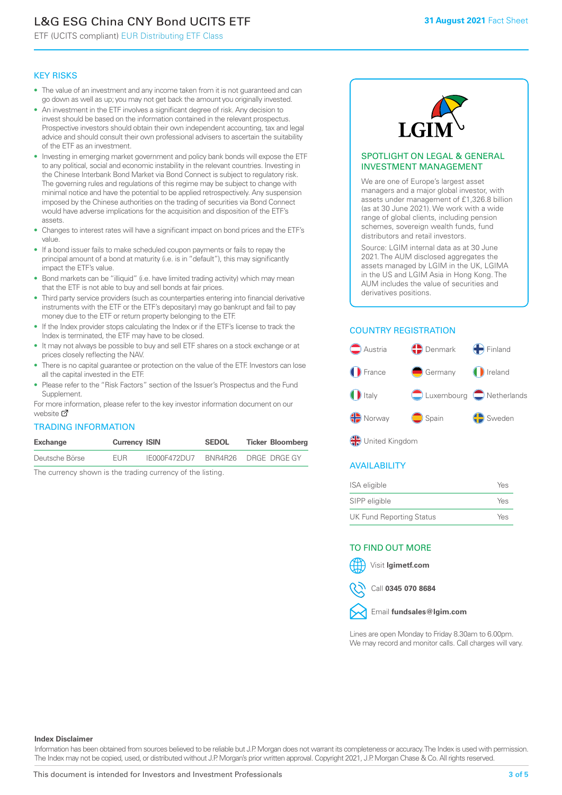# L&G ESG China CNY Bond UCITS ETF

ETF (UCITS compliant) EUR Distributing ETF Class

#### KEY RISKS

- The value of an investment and any income taken from it is not guaranteed and can go down as well as up; you may not get back the amount you originally invested.
- An investment in the ETF involves a significant degree of risk. Any decision to invest should be based on the information contained in the relevant prospectus. Prospective investors should obtain their own independent accounting, tax and legal advice and should consult their own professional advisers to ascertain the suitability of the ETF as an investment.
- Investing in emerging market government and policy bank bonds will expose the ETF to any political, social and economic instability in the relevant countries. Investing in the Chinese Interbank Bond Market via Bond Connect is subject to regulatory risk. The governing rules and regulations of this regime may be subject to change with minimal notice and have the potential to be applied retrospectively. Any suspension imposed by the Chinese authorities on the trading of securities via Bond Connect would have adverse implications for the acquisition and disposition of the ETF's assets.
- Changes to interest rates will have a significant impact on bond prices and the ETF's value.
- If a bond issuer fails to make scheduled coupon payments or fails to repay the principal amount of a bond at maturity (i.e. is in "default"), this may significantly impact the ETF's value.
- Bond markets can be "illiquid" (i.e. have limited trading activity) which may mean that the ETF is not able to buy and sell bonds at fair prices.
- Third party service providers (such as counterparties entering into financial derivative instruments with the ETF or the ETF's depositary) may go bankrupt and fail to pay money due to the ETF or return property belonging to the ETF.
- If the Index provider stops calculating the Index or if the ETF's license to track the Index is terminated, the ETF may have to be closed.
- It may not always be possible to buy and sell ETF shares on a stock exchange or at prices closely reflecting the NAV.
- There is no capital guarantee or protection on the value of the ETF. Investors can lose all the capital invested in the ETF.
- Please refer to the "Risk Factors" section of the Issuer's Prospectus and the Fund Supplement.

For mo[re inf](https://www.lgimetf.com/)ormation, please refer to the key investor information document on our website M

#### TRADING INFORMATION

| Exchange       | <b>Currency ISIN</b> |              | <b>SEDOL</b> | <b>Ticker Bloomberg</b> |
|----------------|----------------------|--------------|--------------|-------------------------|
| Deutsche Börse | <b>FUR</b>           | IE000F472DU7 |              | BNR4R26 DRGE DRGE GY    |

The currency shown is the trading currency of the listing.



#### SPOTLIGHT ON LEGAL & GENERAL INVESTMENT MANAGEMENT

We are one of Europe's largest asset managers and a major global investor, with assets under management of £1,326.8 billion (as at 30 June 2021). We work with a wide range of global clients, including pension schemes, sovereign wealth funds, fund distributors and retail investors.

Source: LGIM internal data as at 30 June 2021. The AUM disclosed aggregates the assets managed by LGIM in the UK, LGIMA in the US and LGIM Asia in Hong Kong. The AUM includes the value of securities and derivatives positions.

### COUNTRY REGISTRATION



**OR** United Kingdom

#### AVAILABILITY

| ISA eligible                    | Yes |
|---------------------------------|-----|
| SIPP eligible                   | Yes |
| <b>UK Fund Reporting Status</b> | Yes |

#### TO FIND OUT MORE

Visit **lgimetf.com**



Call **0345 070 8684**



Lines are open Monday to Friday 8.30am to 6.00pm. We may record and monitor calls. Call charges will vary.

#### **Index Disclaimer**

Information has been obtained from sources believed to be reliable but J.P. Morgan does not warrant its completeness or accuracy. The Index is used with permission. The Index may not be copied, used, or distributed without J.P. Morgan's prior written approval. Copyright 2021, J.P. Morgan Chase & Co. All rights reserved.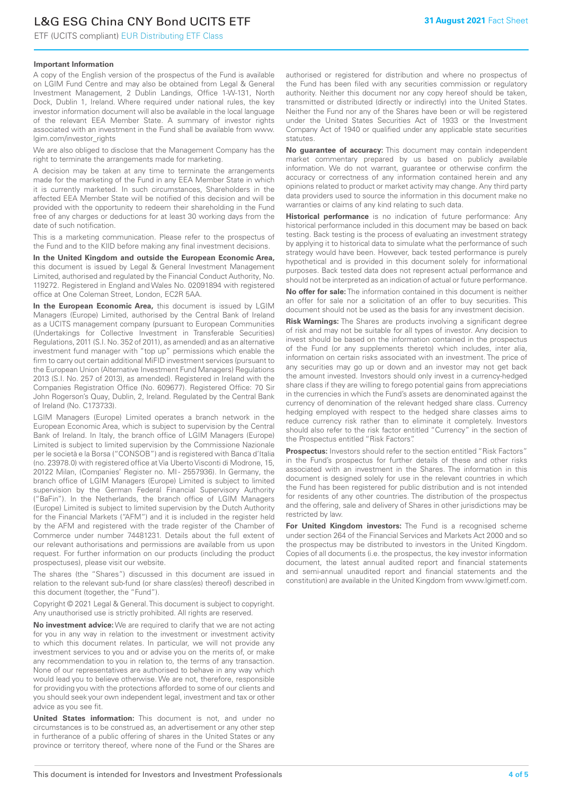# L&G ESG China CNY Bond UCITS ETF

ETF (UCITS compliant) EUR Distributing ETF Class

#### **Important Information**

A copy of the English version of the prospectus of the Fund is available on LGIM Fund Centre and may also be obtained from Legal & General Investment Management, 2 Dublin Landings, Office 1-W-131, North Dock, Dublin 1, Ireland. Where required under national rules, the key investor information document will also be available in the local language of the relevant EEA Member State. A summary of investor rights associated with an investment in the Fund shall be available from www. lgim.com/investor\_rights

We are also obliged to disclose that the Management Company has the right to terminate the arrangements made for marketing.

A decision may be taken at any time to terminate the arrangements made for the marketing of the Fund in any EEA Member State in which it is currently marketed. In such circumstances, Shareholders in the affected EEA Member State will be notified of this decision and will be provided with the opportunity to redeem their shareholding in the Fund free of any charges or deductions for at least 30 working days from the date of such notification.

This is a marketing communication. Please refer to the prospectus of the Fund and to the KIID before making any final investment decisions.

**In the United Kingdom and outside the European Economic Area,** this document is issued by Legal & General Investment Management Limited, authorised and regulated by the Financial Conduct Authority, No. 119272. Registered in England and Wales No. 02091894 with registered office at One Coleman Street, London, EC2R 5AA.

**In the European Economic Area,** this document is issued by LGIM Managers (Europe) Limited, authorised by the Central Bank of Ireland as a UCITS management company (pursuant to European Communities (Undertakings for Collective Investment in Transferable Securities) Regulations, 2011 (S.I. No. 352 of 2011), as amended) and as an alternative investment fund manager with "top up" permissions which enable the firm to carry out certain additional MiFID investment services (pursuant to the European Union (Alternative Investment Fund Managers) Regulations 2013 (S.I. No. 257 of 2013), as amended). Registered in Ireland with the Companies Registration Office (No. 609677). Registered Office: 70 Sir John Rogerson's Quay, Dublin, 2, Ireland. Regulated by the Central Bank of Ireland (No. C173733).

LGIM Managers (Europe) Limited operates a branch network in the European Economic Area, which is subject to supervision by the Central Bank of Ireland. In Italy, the branch office of LGIM Managers (Europe) Limited is subject to limited supervision by the Commissione Nazionale per le società e la Borsa ("CONSOB") and is registered with Banca d'Italia (no. 23978.0) with registered office at Via Uberto Visconti di Modrone, 15, 20122 Milan, (Companies' Register no. MI - 2557936). In Germany, the branch office of LGIM Managers (Europe) Limited is subject to limited supervision by the German Federal Financial Supervisory Authority ("BaFin"). In the Netherlands, the branch office of LGIM Managers (Europe) Limited is subject to limited supervision by the Dutch Authority for the Financial Markets ("AFM") and it is included in the register held by the AFM and registered with the trade register of the Chamber of Commerce under number 74481231. Details about the full extent of our relevant authorisations and permissions are available from us upon request. For further information on our products (including the product prospectuses), please visit our website.

The shares (the "Shares") discussed in this document are issued in relation to the relevant sub-fund (or share class(es) thereof) described in this document (together, the "Fund").

Copyright © 2021 Legal & General. This document is subject to copyright. Any unauthorised use is strictly prohibited. All rights are reserved.

**No investment advice:** We are required to clarify that we are not acting for you in any way in relation to the investment or investment activity to which this document relates. In particular, we will not provide any investment services to you and or advise you on the merits of, or make any recommendation to you in relation to, the terms of any transaction. None of our representatives are authorised to behave in any way which would lead you to believe otherwise. We are not, therefore, responsible for providing you with the protections afforded to some of our clients and you should seek your own independent legal, investment and tax or other advice as you see fit.

**United States information:** This document is not, and under no circumstances is to be construed as, an advertisement or any other step in furtherance of a public offering of shares in the United States or any province or territory thereof, where none of the Fund or the Shares are authorised or registered for distribution and where no prospectus of the Fund has been filed with any securities commission or regulatory authority. Neither this document nor any copy hereof should be taken, transmitted or distributed (directly or indirectly) into the United States. Neither the Fund nor any of the Shares have been or will be registered under the United States Securities Act of 1933 or the Investment Company Act of 1940 or qualified under any applicable state securities statutes.

**No guarantee of accuracy:** This document may contain independent market commentary prepared by us based on publicly available information. We do not warrant, guarantee or otherwise confirm the accuracy or correctness of any information contained herein and any opinions related to product or market activity may change. Any third party data providers used to source the information in this document make no warranties or claims of any kind relating to such data.

**Historical performance** is no indication of future performance: Any historical performance included in this document may be based on back testing. Back testing is the process of evaluating an investment strategy by applying it to historical data to simulate what the performance of such strategy would have been. However, back tested performance is purely hypothetical and is provided in this document solely for informational purposes. Back tested data does not represent actual performance and should not be interpreted as an indication of actual or future performance.

**No offer for sale:** The information contained in this document is neither an offer for sale nor a solicitation of an offer to buy securities. This document should not be used as the basis for any investment decision.

**Risk Warnings:** The Shares are products involving a significant degree of risk and may not be suitable for all types of investor. Any decision to invest should be based on the information contained in the prospectus of the Fund (or any supplements thereto) which includes, inter alia, information on certain risks associated with an investment. The price of any securities may go up or down and an investor may not get back the amount invested. Investors should only invest in a currency-hedged share class if they are willing to forego potential gains from appreciations in the currencies in which the Fund's assets are denominated against the currency of denomination of the relevant hedged share class. Currency hedging employed with respect to the hedged share classes aims to reduce currency risk rather than to eliminate it completely. Investors should also refer to the risk factor entitled "Currency" in the section of the Prospectus entitled "Risk Factors".

**Prospectus:** Investors should refer to the section entitled "Risk Factors" in the Fund's prospectus for further details of these and other risks associated with an investment in the Shares. The information in this document is designed solely for use in the relevant countries in which the Fund has been registered for public distribution and is not intended for residents of any other countries. The distribution of the prospectus and the offering, sale and delivery of Shares in other jurisdictions may be restricted by law.

**For United Kingdom investors:** The Fund is a recognised scheme under section 264 of the Financial Services and Markets Act 2000 and so the prospectus may be distributed to investors in the United Kingdom. Copies of all documents (i.e. the prospectus, the key investor information document, the latest annual audited report and financial statements and semi-annual unaudited report and financial statements and the constitution) are available in the United Kingdom from www.lgimetf.com.